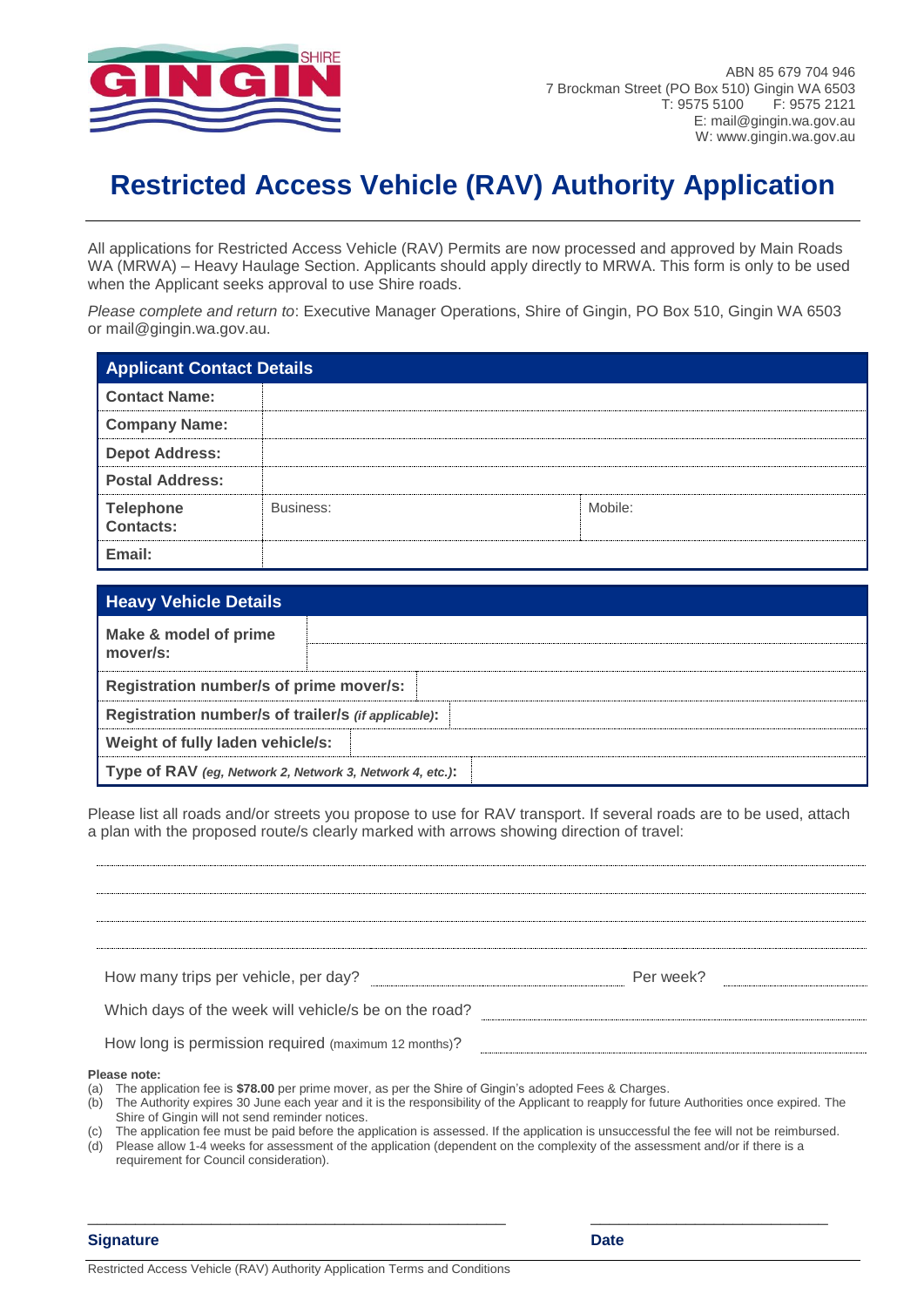

# **Restricted Access Vehicle (RAV) Authority Application**

All applications for Restricted Access Vehicle (RAV) Permits are now processed and approved by Main Roads WA (MRWA) – Heavy Haulage Section. Applicants should apply directly to MRWA. This form is only to be used when the Applicant seeks approval to use Shire roads.

*Please complete and return to*: Executive Manager Operations, Shire of Gingin, PO Box 510, Gingin WA 6503 or mail@gingin.wa.gov.au.

| <b>Applicant Contact Details</b>     |           |         |
|--------------------------------------|-----------|---------|
| <b>Contact Name:</b>                 |           |         |
| <b>Company Name:</b>                 |           |         |
| <b>Depot Address:</b>                |           |         |
| <b>Postal Address:</b>               |           |         |
| <b>Telephone</b><br><b>Contacts:</b> | Business: | Mobile: |
| Email:                               |           |         |

| <b>Heavy Vehicle Details</b>                             |  |  |
|----------------------------------------------------------|--|--|
| Make & model of prime<br>mover/s:                        |  |  |
|                                                          |  |  |
| Registration number/s of prime mover/s:                  |  |  |
| Registration number/s of trailer/s (if applicable):      |  |  |
| Weight of fully laden vehicle/s:                         |  |  |
| Type of RAV (eg, Network 2, Network 3, Network 4, etc.): |  |  |

Please list all roads and/or streets you propose to use for RAV transport. If several roads are to be used, attach a plan with the proposed route/s clearly marked with arrows showing direction of travel:

| How many trips per vehicle, per day?                  | Per week? |
|-------------------------------------------------------|-----------|
| Which days of the week will vehicle/s be on the road? |           |

#### **Please note:**

- (a) The application fee is **\$78.00** per prime mover, as per the Shire of Gingin's adopted Fees & Charges.
- (b) The Authority expires 30 June each year and it is the responsibility of the Applicant to reapply for future Authorities once expired. The Shire of Gingin will not send reminder notices.
- (c) The application fee must be paid before the application is assessed. If the application is unsuccessful the fee will not be reimbursed. (d) Please allow 1-4 weeks for assessment of the application (dependent on the complexity of the assessment and/or if there is a requirement for Council consideration).

\_\_\_\_\_\_\_\_\_\_\_\_\_\_\_\_\_\_\_\_\_\_\_\_\_\_\_\_\_\_\_\_\_\_\_\_\_\_\_\_\_\_\_\_ \_\_\_\_\_\_\_\_\_\_\_\_\_\_\_\_\_\_\_\_\_\_\_\_\_

**Signature Date**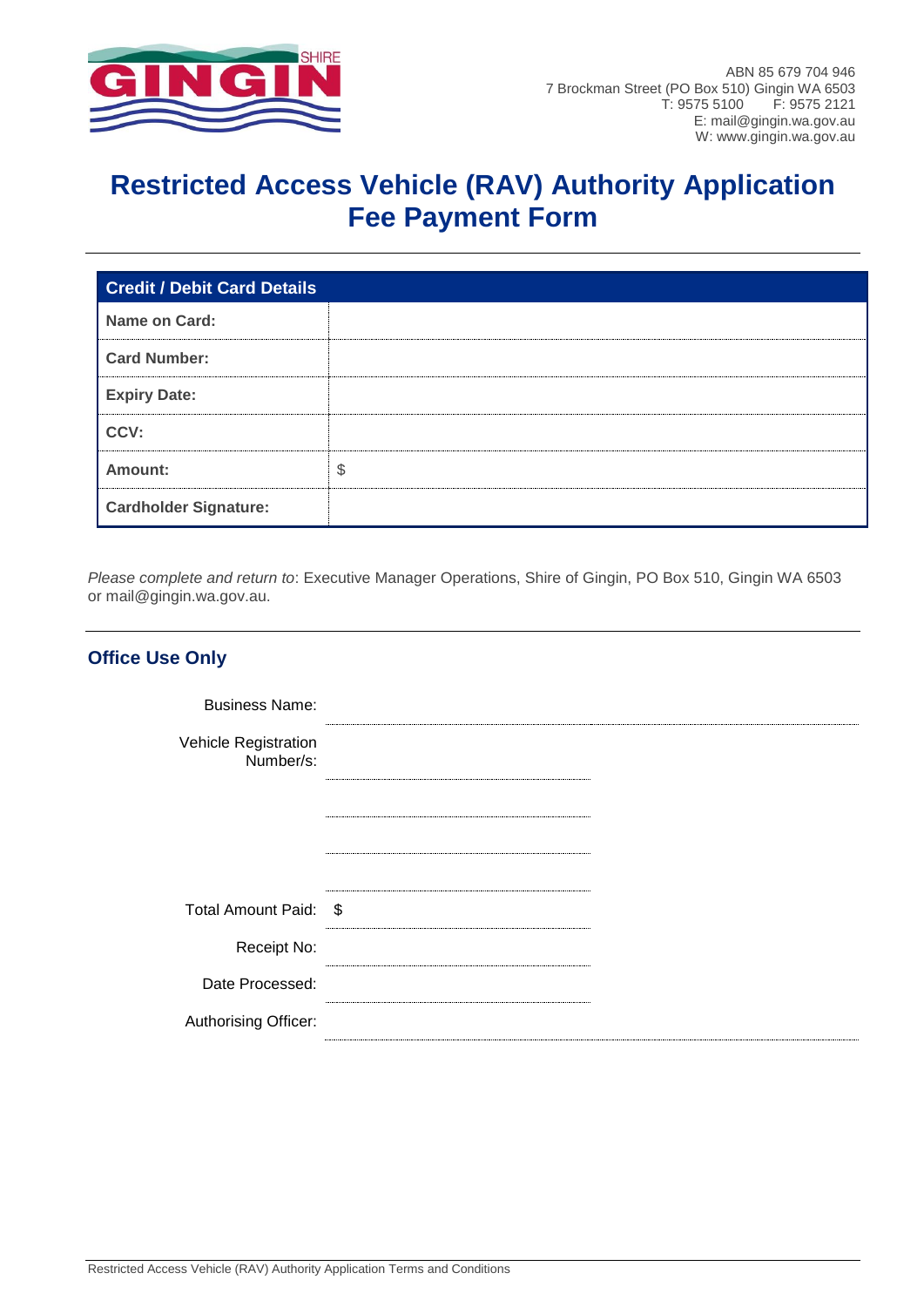

## **Restricted Access Vehicle (RAV) Authority Application Fee Payment Form**

| <b>Credit / Debit Card Details</b> |    |
|------------------------------------|----|
| Name on Card:                      |    |
| <b>Card Number:</b>                |    |
| <b>Expiry Date:</b>                |    |
| CCV:                               |    |
| Amount:                            | \$ |
| <b>Cardholder Signature:</b>       |    |

*Please complete and return to*: Executive Manager Operations, Shire of Gingin, PO Box 510, Gingin WA 6503 or mail@gingin.wa.gov.au.

| <b>Office Use Only</b>            |  |
|-----------------------------------|--|
| <b>Business Name:</b>             |  |
| Vehicle Registration<br>Number/s: |  |
|                                   |  |
|                                   |  |
| Total Amount Paid: \$             |  |
|                                   |  |
| Receipt No:                       |  |
| Date Processed:                   |  |
| Authorising Officer:              |  |
|                                   |  |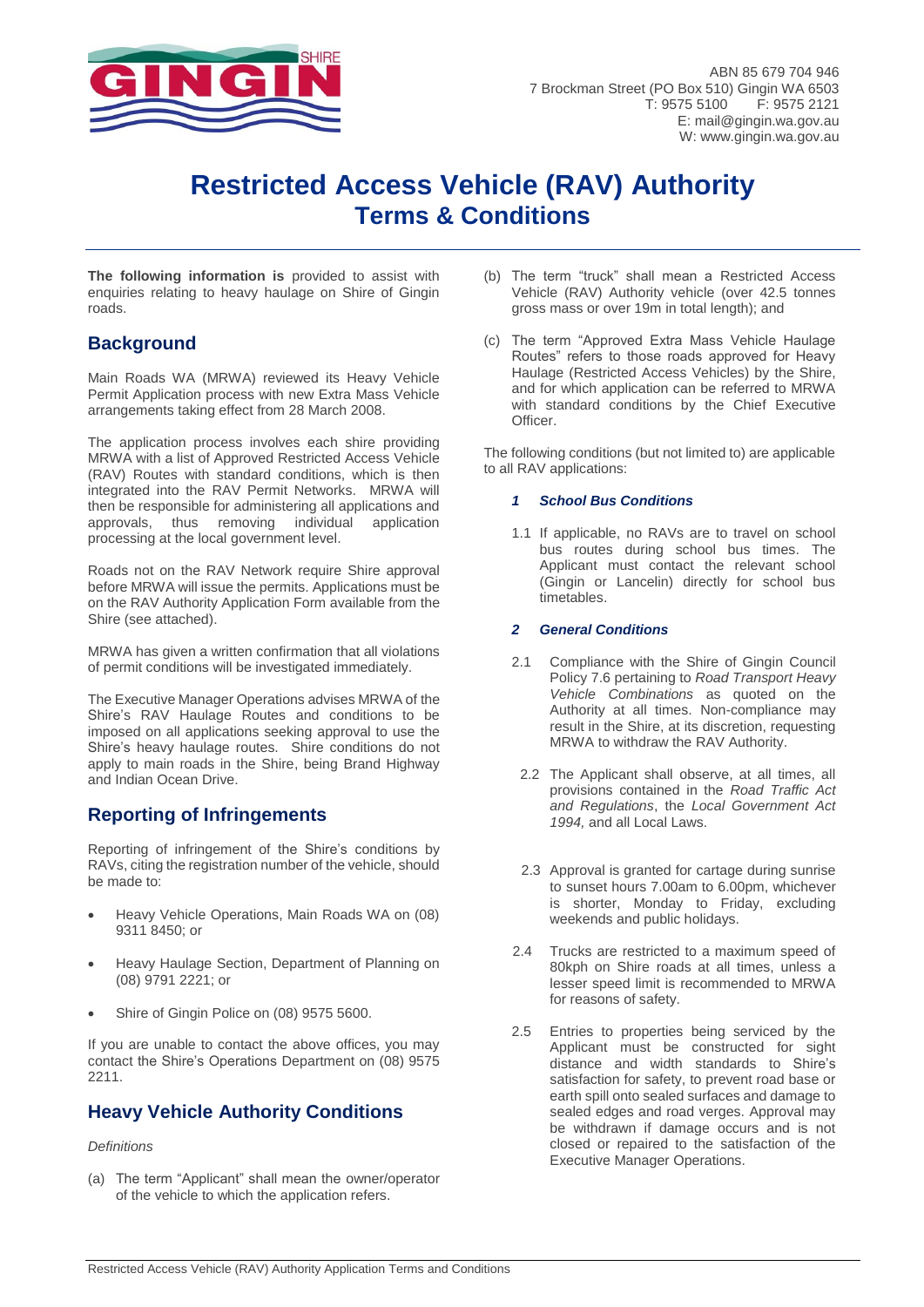

## **Restricted Access Vehicle (RAV) Authority Terms & Conditions**

**The following information is** provided to assist with enquiries relating to heavy haulage on Shire of Gingin roads.

## **Background**

Main Roads WA (MRWA) reviewed its Heavy Vehicle Permit Application process with new Extra Mass Vehicle arrangements taking effect from 28 March 2008.

The application process involves each shire providing MRWA with a list of Approved Restricted Access Vehicle (RAV) Routes with standard conditions, which is then integrated into the RAV Permit Networks. MRWA will then be responsible for administering all applications and approvals, thus removing individual application processing at the local government level.

Roads not on the RAV Network require Shire approval before MRWA will issue the permits. Applications must be on the RAV Authority Application Form available from the Shire (see attached).

MRWA has given a written confirmation that all violations of permit conditions will be investigated immediately.

The Executive Manager Operations advises MRWA of the Shire's RAV Haulage Routes and conditions to be imposed on all applications seeking approval to use the Shire's heavy haulage routes. Shire conditions do not apply to main roads in the Shire, being Brand Highway and Indian Ocean Drive.

## **Reporting of Infringements**

Reporting of infringement of the Shire's conditions by RAVs, citing the registration number of the vehicle, should be made to:

- Heavy Vehicle Operations, Main Roads WA on (08) 9311 8450; or
- Heavy Haulage Section, Department of Planning on (08) 9791 2221; or
- Shire of Gingin Police on (08) 9575 5600.

If you are unable to contact the above offices, you may contact the Shire's Operations Department on (08) 9575 2211.

## **Heavy Vehicle Authority Conditions**

### *Definitions*

(a) The term "Applicant" shall mean the owner/operator of the vehicle to which the application refers.

- (b) The term "truck" shall mean a Restricted Access Vehicle (RAV) Authority vehicle (over 42.5 tonnes gross mass or over 19m in total length); and
- (c) The term "Approved Extra Mass Vehicle Haulage Routes" refers to those roads approved for Heavy Haulage (Restricted Access Vehicles) by the Shire, and for which application can be referred to MRWA with standard conditions by the Chief Executive Officer.

The following conditions (but not limited to) are applicable to all RAV applications:

### *1 School Bus Conditions*

1.1 If applicable, no RAVs are to travel on school bus routes during school bus times. The Applicant must contact the relevant school (Gingin or Lancelin) directly for school bus timetables.

### *2 General Conditions*

- 2.1 Compliance with the Shire of Gingin Council Policy 7.6 pertaining to *Road Transport Heavy Vehicle Combinations* as quoted on the Authority at all times. Non-compliance may result in the Shire, at its discretion, requesting MRWA to withdraw the RAV Authority.
	- 2.2 The Applicant shall observe, at all times, all provisions contained in the *Road Traffic Act and Regulations*, the *Local Government Act 1994,* and all Local Laws.
- 2.3 Approval is granted for cartage during sunrise to sunset hours 7.00am to 6.00pm, whichever is shorter, Monday to Friday, excluding weekends and public holidays.
- 2.4 Trucks are restricted to a maximum speed of 80kph on Shire roads at all times, unless a lesser speed limit is recommended to MRWA for reasons of safety.
- 2.5 Entries to properties being serviced by the Applicant must be constructed for sight distance and width standards to Shire's satisfaction for safety, to prevent road base or earth spill onto sealed surfaces and damage to sealed edges and road verges. Approval may be withdrawn if damage occurs and is not closed or repaired to the satisfaction of the Executive Manager Operations.